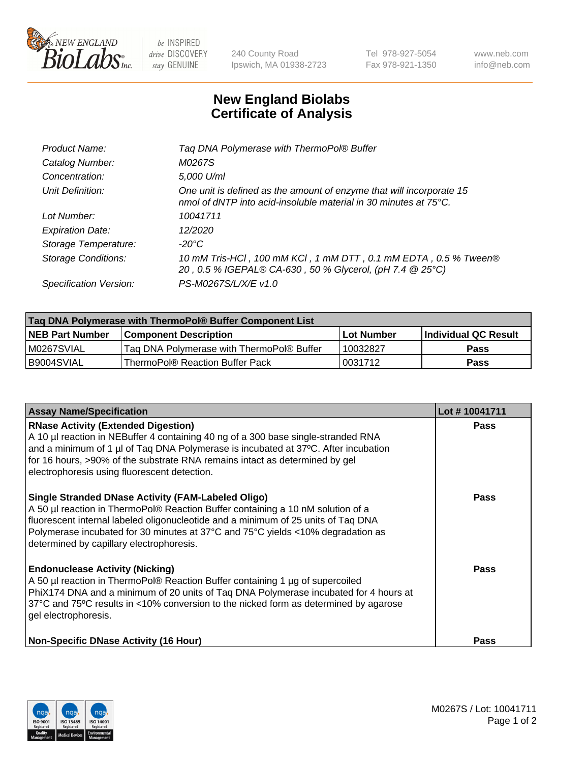

 $be$  INSPIRED drive DISCOVERY stay GENUINE

240 County Road Ipswich, MA 01938-2723 Tel 978-927-5054 Fax 978-921-1350 www.neb.com info@neb.com

## **New England Biolabs Certificate of Analysis**

| Product Name:              | Tag DNA Polymerase with ThermoPol® Buffer                                                                                                |
|----------------------------|------------------------------------------------------------------------------------------------------------------------------------------|
| Catalog Number:            | M0267S                                                                                                                                   |
| Concentration:             | 5,000 U/ml                                                                                                                               |
| Unit Definition:           | One unit is defined as the amount of enzyme that will incorporate 15<br>nmol of dNTP into acid-insoluble material in 30 minutes at 75°C. |
| Lot Number:                | 10041711                                                                                                                                 |
| <b>Expiration Date:</b>    | 12/2020                                                                                                                                  |
| Storage Temperature:       | $-20^{\circ}$ C                                                                                                                          |
| <b>Storage Conditions:</b> | 10 mM Tris-HCl, 100 mM KCl, 1 mM DTT, 0.1 mM EDTA, 0.5 % Tween®<br>20, 0.5 % IGEPAL® CA-630, 50 % Glycerol, (pH 7.4 @ 25°C)              |
| Specification Version:     | PS-M0267S/L/X/E v1.0                                                                                                                     |
|                            |                                                                                                                                          |

| Tag DNA Polymerase with ThermoPol® Buffer Component List |                                           |                   |                      |  |
|----------------------------------------------------------|-------------------------------------------|-------------------|----------------------|--|
| <b>NEB Part Number</b>                                   | <b>Component Description</b>              | <b>Lot Number</b> | Individual QC Result |  |
| IM0267SVIAL                                              | Tag DNA Polymerase with ThermoPol® Buffer | 10032827          | <b>Pass</b>          |  |
| I B9004SVIAL                                             | ThermoPol® Reaction Buffer Pack           | '0031712          | <b>Pass</b>          |  |

| <b>Assay Name/Specification</b>                                                                                                                                                                                                                                                                                                                                  | Lot #10041711 |
|------------------------------------------------------------------------------------------------------------------------------------------------------------------------------------------------------------------------------------------------------------------------------------------------------------------------------------------------------------------|---------------|
| <b>RNase Activity (Extended Digestion)</b><br>A 10 µl reaction in NEBuffer 4 containing 40 ng of a 300 base single-stranded RNA<br>and a minimum of 1 µl of Taq DNA Polymerase is incubated at 37°C. After incubation<br>for 16 hours, >90% of the substrate RNA remains intact as determined by gel<br>electrophoresis using fluorescent detection.             | <b>Pass</b>   |
| <b>Single Stranded DNase Activity (FAM-Labeled Oligo)</b><br>A 50 µl reaction in ThermoPol® Reaction Buffer containing a 10 nM solution of a<br>fluorescent internal labeled oligonucleotide and a minimum of 25 units of Taq DNA<br>Polymerase incubated for 30 minutes at 37°C and 75°C yields <10% degradation as<br>determined by capillary electrophoresis. | <b>Pass</b>   |
| <b>Endonuclease Activity (Nicking)</b><br>A 50 µl reaction in ThermoPol® Reaction Buffer containing 1 µg of supercoiled<br>PhiX174 DNA and a minimum of 20 units of Taq DNA Polymerase incubated for 4 hours at<br>37°C and 75°C results in <10% conversion to the nicked form as determined by agarose<br>gel electrophoresis.                                  | Pass          |
| <b>Non-Specific DNase Activity (16 Hour)</b>                                                                                                                                                                                                                                                                                                                     | Pass          |